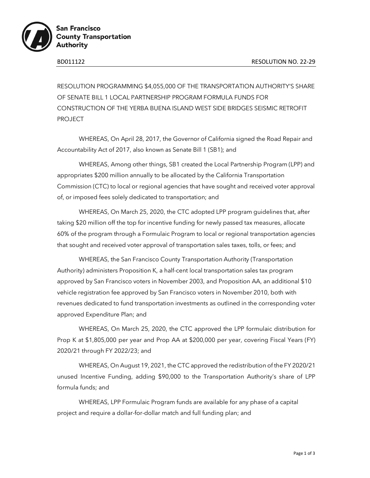

**San Francisco County Transportation Authority** 

RESOLUTION PROGRAMMING \$4,055,000 OF THE TRANSPORTATION AUTHORITY'S SHARE OF SENATE BILL 1 LOCAL PARTNERSHIP PROGRAM FORMULA FUNDS FOR CONSTRUCTION OF THE YERBA BUENA ISLAND WEST SIDE BRIDGES SEISMIC RETROFIT PROJECT

WHEREAS, On April 28, 2017, the Governor of California signed the Road Repair and Accountability Act of 2017, also known as Senate Bill 1 (SB1); and

WHEREAS, Among other things, SB1 created the Local Partnership Program (LPP) and appropriates \$200 million annually to be allocated by the California Transportation Commission (CTC) to local or regional agencies that have sought and received voter approval of, or imposed fees solely dedicated to transportation; and

WHEREAS, On March 25, 2020, the CTC adopted LPP program guidelines that, after taking \$20 million off the top for incentive funding for newly passed tax measures, allocate 60% of the program through a Formulaic Program to local or regional transportation agencies that sought and received voter approval of transportation sales taxes, tolls, or fees; and

WHEREAS, the San Francisco County Transportation Authority (Transportation Authority) administers Proposition K, a half-cent local transportation sales tax program approved by San Francisco voters in November 2003, and Proposition AA, an additional \$10 vehicle registration fee approved by San Francisco voters in November 2010, both with revenues dedicated to fund transportation investments as outlined in the corresponding voter approved Expenditure Plan; and

WHEREAS, On March 25, 2020, the CTC approved the LPP formulaic distribution for Prop K at \$1,805,000 per year and Prop AA at \$200,000 per year, covering Fiscal Years (FY) 2020/21 through FY 2022/23; and

WHEREAS, On August 19, 2021, the CTC approved the redistribution of the FY 2020/21 unused Incentive Funding, adding \$90,000 to the Transportation Authority's share of LPP formula funds; and

WHEREAS, LPP Formulaic Program funds are available for any phase of a capital project and require a dollar-for-dollar match and full funding plan; and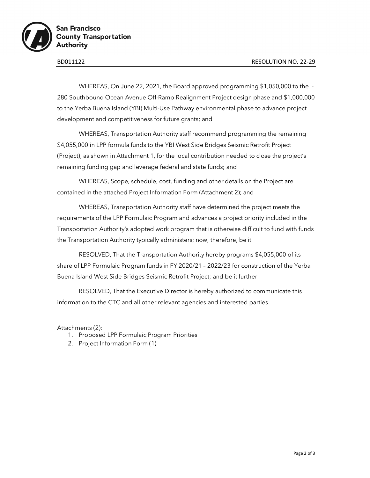

WHEREAS, On June 22, 2021, the Board approved programming \$1,050,000 to the I-280 Southbound Ocean Avenue Off-Ramp Realignment Project design phase and \$1,000,000 to the Yerba Buena Island (YBI) Multi-Use Pathway environmental phase to advance project development and competitiveness for future grants; and

WHEREAS, Transportation Authority staff recommend programming the remaining \$4,055,000 in LPP formula funds to the YBI West Side Bridges Seismic Retrofit Project (Project), as shown in Attachment 1, for the local contribution needed to close the project's remaining funding gap and leverage federal and state funds; and

WHEREAS, Scope, schedule, cost, funding and other details on the Project are contained in the attached Project Information Form (Attachment 2); and

WHEREAS, Transportation Authority staff have determined the project meets the requirements of the LPP Formulaic Program and advances a project priority included in the Transportation Authority's adopted work program that is otherwise difficult to fund with funds the Transportation Authority typically administers; now, therefore, be it

RESOLVED, That the Transportation Authority hereby programs \$4,055,000 of its share of LPP Formulaic Program funds in FY 2020/21 – 2022/23 for construction of the Yerba Buena Island West Side Bridges Seismic Retrofit Project; and be it further

RESOLVED, That the Executive Director is hereby authorized to communicate this information to the CTC and all other relevant agencies and interested parties.

#### Attachments (2):

- 1. Proposed LPP Formulaic Program Priorities
- 2. Project Information Form (1)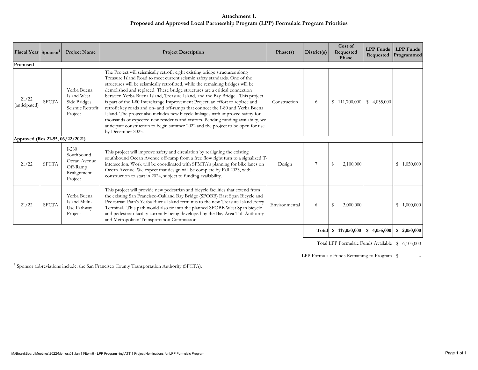#### **Attachment 1. Proposed and Approved Local Partnership Program (LPP) Formulaic Program Priorities**

| Fiscal Year Sponsor <sup>1</sup> |              | <b>Project Name</b>                                                         | <b>Project Description</b>                                                                                                                                                                                                                                                                                                                                                                                                                                                                                                                                                                                                                                                                                                                                                                                                                                     | Phase(s)      | District(s) | Cost of<br>Requested<br>Phase | <b>LPP</b> Funds<br>Requested | <b>LPP</b> Funds<br>Programmed |
|----------------------------------|--------------|-----------------------------------------------------------------------------|----------------------------------------------------------------------------------------------------------------------------------------------------------------------------------------------------------------------------------------------------------------------------------------------------------------------------------------------------------------------------------------------------------------------------------------------------------------------------------------------------------------------------------------------------------------------------------------------------------------------------------------------------------------------------------------------------------------------------------------------------------------------------------------------------------------------------------------------------------------|---------------|-------------|-------------------------------|-------------------------------|--------------------------------|
| Proposed                         |              |                                                                             |                                                                                                                                                                                                                                                                                                                                                                                                                                                                                                                                                                                                                                                                                                                                                                                                                                                                |               |             |                               |                               |                                |
| 21/22<br>(anticipated)           | <b>SFCTA</b> | Yerba Buena<br>Island West<br>Side Bridges<br>Seismic Retrofit<br>Project   | The Project will seismically retrofit eight existing bridge structures along<br>Treasure Island Road to meet current seismic safety standards. One of the<br>structures will be seismically retrofitted, while the remaining bridges will be<br>demolished and replaced. These bridge structures are a critical connection<br>between Yerba Buena Island, Treasure Island, and the Bay Bridge. This project<br>is part of the I-80 Interchange Improvement Project, an effort to replace and<br>retrofit key roads and on- and off-ramps that connect the I-80 and Yerba Buena<br>Island. The project also includes new bicycle linkages with improved safety for<br>thousands of expected new residents and visitors. Pending funding availabilty, we<br>anticipate construction to begin summer 2022 and the project to be open for use<br>by December 2025. | Construction  | 6           | \$111,700,000                 | \$4,055,000                   |                                |
| Approved (Res 21-55, 06/22/2021) |              |                                                                             |                                                                                                                                                                                                                                                                                                                                                                                                                                                                                                                                                                                                                                                                                                                                                                                                                                                                |               |             |                               |                               |                                |
| 21/22                            | <b>SFCTA</b> | $I-280$<br>Southbound<br>Ocean Avenue<br>Off-Ramp<br>Realignment<br>Project | This project will improve safety and circulation by realigning the existing<br>southbound Ocean Avenue off-ramp from a free flow right turn to a signalized T-<br>intersection. Work will be coordinated with SFMTA's planning for bike lanes on<br>Ocean Avenue. We expect that design will be complete by Fall 2023, with<br>construction to start in 2024, subject to funding availability.                                                                                                                                                                                                                                                                                                                                                                                                                                                                 | Design        | 7           | 2,100,000                     |                               | 1,050,000<br>\$                |
| 21/22                            | <b>SFCTA</b> | Yerba Buena<br>Island Multi-<br>Use Pathway<br>Project                      | This project will provide new pedestrian and bicycle facilities that extend from<br>the existing San Francisco-Oakland Bay Bridge (SFOBB) East Span Bicycle and<br>Pedestrian Path's Yerba Buena Island terminus to the new Treasure Island Ferry<br>Terminal. This path would also tie into the planned SFOBB West Span bicycle<br>and pedestrian facility currently being developed by the Bay Area Toll Authority<br>and Metropolitan Transportation Commission.                                                                                                                                                                                                                                                                                                                                                                                            | Environmental | 6           | 3,000,000                     |                               | 1,000,000<br>S                 |
|                                  |              |                                                                             |                                                                                                                                                                                                                                                                                                                                                                                                                                                                                                                                                                                                                                                                                                                                                                                                                                                                |               |             | Total \$ 117,050,000          | \$4,055,000                   | \$2,050,000                    |

Total LPP Formulaic Funds Available \$ 6,105,000

LPP Formulaic Funds Remaining to Program \$

<sup>1</sup> Sponsor abbreviations include: the San Francisco County Transportation Authority (SFCTA).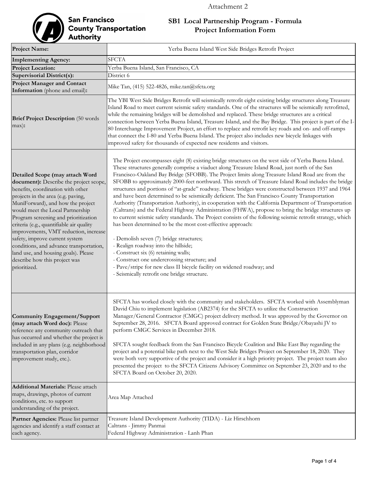Attachment 2



# San Francisco<br>County Transportation<br>Authority

## **SB1 Local Partnership Program - Formula Project Information Form**

| <b>Project Name:</b>                                                                                                                                                                                                                                                                                                                                                                                                                                                                                                             | Yerba Buena Island West Side Bridges Retrofit Project                                                                                                                                                                                                                                                                                                                                                                                                                                                                                                                                                                                                                                                                                                                                                                                                                                                                                                                                                                                                                                                                                                                                                                                                                                                                           |
|----------------------------------------------------------------------------------------------------------------------------------------------------------------------------------------------------------------------------------------------------------------------------------------------------------------------------------------------------------------------------------------------------------------------------------------------------------------------------------------------------------------------------------|---------------------------------------------------------------------------------------------------------------------------------------------------------------------------------------------------------------------------------------------------------------------------------------------------------------------------------------------------------------------------------------------------------------------------------------------------------------------------------------------------------------------------------------------------------------------------------------------------------------------------------------------------------------------------------------------------------------------------------------------------------------------------------------------------------------------------------------------------------------------------------------------------------------------------------------------------------------------------------------------------------------------------------------------------------------------------------------------------------------------------------------------------------------------------------------------------------------------------------------------------------------------------------------------------------------------------------|
| <b>Implementing Agency:</b>                                                                                                                                                                                                                                                                                                                                                                                                                                                                                                      | <b>SFCTA</b>                                                                                                                                                                                                                                                                                                                                                                                                                                                                                                                                                                                                                                                                                                                                                                                                                                                                                                                                                                                                                                                                                                                                                                                                                                                                                                                    |
| <b>Project Location:</b>                                                                                                                                                                                                                                                                                                                                                                                                                                                                                                         | Yerba Buena Island, San Francisco, CA                                                                                                                                                                                                                                                                                                                                                                                                                                                                                                                                                                                                                                                                                                                                                                                                                                                                                                                                                                                                                                                                                                                                                                                                                                                                                           |
| <b>Supervisorial District(s):</b>                                                                                                                                                                                                                                                                                                                                                                                                                                                                                                | District 6                                                                                                                                                                                                                                                                                                                                                                                                                                                                                                                                                                                                                                                                                                                                                                                                                                                                                                                                                                                                                                                                                                                                                                                                                                                                                                                      |
| <b>Project Manager and Contact</b><br>Information (phone and email):                                                                                                                                                                                                                                                                                                                                                                                                                                                             | Mike Tan, (415) 522-4826, mike.tan@sfcta.org                                                                                                                                                                                                                                                                                                                                                                                                                                                                                                                                                                                                                                                                                                                                                                                                                                                                                                                                                                                                                                                                                                                                                                                                                                                                                    |
| <b>Brief Project Description</b> (50 words<br>max):                                                                                                                                                                                                                                                                                                                                                                                                                                                                              | The YBI West Side Bridges Retrofit will seismically retrofit eight existing bridge structures along Treasure<br>Island Road to meet current seismic safety standards. One of the structures will be seismically retrofitted,<br>while the remaining bridges will be demolished and replaced. These bridge structures are a critical<br>connection between Yerba Buena Island, Treasure Island, and the Bay Bridge. This project is part of the I-<br>80 Interchange Improvement Project, an effort to replace and retrofit key roads and on- and off-ramps<br>that connect the I-80 and Yerba Buena Island. The project also includes new bicycle linkages with<br>improved safety for thousands of expected new residents and visitors.                                                                                                                                                                                                                                                                                                                                                                                                                                                                                                                                                                                        |
| Detailed Scope (may attach Word<br>document): Describe the project scope,<br>benefits, coordination with other<br>projects in the area (e.g. paving,<br>MuniForward), and how the project<br>would meet the Local Partnership<br>Program screening and prioritization<br>criteria (e.g., quantifiable air quality<br>improvements, VMT reduction, increase<br>safety, improve current system<br>conditions, and advance transportation,<br>land use, and housing goals). Please<br>describe how this project was<br>prioritized. | The Project encompasses eight (8) existing bridge structures on the west side of Yerba Buena Island.<br>These structures generally comprise a viaduct along Treasure Island Road, just north of the San<br>Francisco-Oakland Bay Bridge (SFOBB). The Project limits along Treasure Island Road are from the<br>SFOBB to approximately 2000-feet northward. This stretch of Treasure Island Road includes the bridge<br>structures and portions of "at-grade" roadway. These bridges were constructed between 1937 and 1964<br>and have been determined to be seismically deficient. The San Francisco County Transportation<br>Authority (Transportation Authority), in cooperation with the California Department of Transportation<br>(Caltrans) and the Federal Highway Administration (FHWA), propose to bring the bridge structures up<br>to current seismic safety standards. The Project consists of the following seismic retrofit strategy, which<br>has been determined to be the most cost-effective approach:<br>- Demolish seven (7) bridge structures;<br>- Realign roadway into the hillside;<br>- Construct six (6) retaining walls;<br>- Construct one undercrossing structure; and<br>- Pave/stripe for new class II bicycle facility on widened roadway; and<br>- Seismically retrofit one bridge structure. |
| Community Engagement/Support<br>(may attach Word doc): Please<br>reference any community outreach that<br>has occurred and whether the project is<br>included in any plans (e.g. neighborhood<br>transportation plan, corridor<br>improvement study, etc.).                                                                                                                                                                                                                                                                      | SFCTA has worked closely with the community and stakeholders. SFCTA worked with Assemblyman<br>David Chiu to implement legislation (AB2374) for the SFCTA to utilize the Construction<br>Manager/General Contractor (CMGC) project delivery method. It was approved by the Governor on<br>September 28, 2016. SFCTA Board approved contract for Golden State Bridge/Obayashi JV to<br>perform CMGC Services in December 2018.<br>SFCTA sought feedback from the San Francisco Bicycle Coalition and Bike East Bay regarding the<br>project and a potential bike path next to the West Side Bridges Project on September 18, 2020. They<br>were both very supportive of the project and consider it a high priority project. The project team also<br>presented the project to the SFCTA Citizens Advisory Committee on September 23, 2020 and to the<br>SFCTA Board on October 20, 2020.                                                                                                                                                                                                                                                                                                                                                                                                                                        |
| <b>Additional Materials: Please attach</b><br>maps, drawings, photos of current<br>conditions, etc. to support<br>understanding of the project.                                                                                                                                                                                                                                                                                                                                                                                  | Area Map Attached                                                                                                                                                                                                                                                                                                                                                                                                                                                                                                                                                                                                                                                                                                                                                                                                                                                                                                                                                                                                                                                                                                                                                                                                                                                                                                               |
| Partner Agencies: Please list partner<br>agencies and identify a staff contact at<br>each agency.                                                                                                                                                                                                                                                                                                                                                                                                                                | Treasure Island Development Authority (TIDA) - Liz Hirschhorn<br>Caltrans - Jimmy Panmai<br>Federal Highway Administration - Lanh Phan                                                                                                                                                                                                                                                                                                                                                                                                                                                                                                                                                                                                                                                                                                                                                                                                                                                                                                                                                                                                                                                                                                                                                                                          |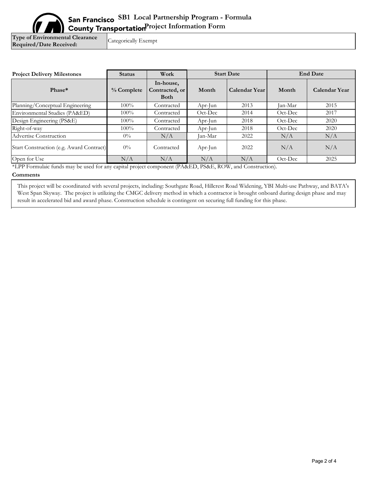**Type of Environmental Clearance Required/Date Received:** 

Categorically Exempt

| <b>Project Delivery Milestones</b>       | <b>Status</b> | Work                                       | <b>Start Date</b>         |                      | <b>End Date</b>           |                      |
|------------------------------------------|---------------|--------------------------------------------|---------------------------|----------------------|---------------------------|----------------------|
| Phase*                                   | $%$ Complete  | In-house,<br>Contracted, or<br><b>Both</b> | Month                     | <b>Calendar Year</b> | Month                     | <b>Calendar Year</b> |
| Planning/Conceptual Engineering          | $100\%$       | Contracted                                 | Apr-Jun                   | 2013                 | Jan-Mar                   | 2015                 |
| Environmental Studies (PA&ED)            | $100\%$       | Contracted                                 | $Oct\text{-}\mathrm{Dec}$ | 2014                 | $Oct\text{-}\mathrm{Dec}$ | 2017                 |
| Design Engineering (PS&E)                | $100\%$       | Contracted                                 | Apr-Jun                   | 2018                 | Oct-Dec                   | 2020                 |
| Right-of-way                             | $100\%$       | Contracted                                 | Apr-Jun                   | 2018                 | $Oct\text{-}\mathrm{Dec}$ | 2020                 |
| Advertise Construction                   | $0\%$         | N/A                                        | Jan-Mar                   | 2022                 | N/A                       | N/A                  |
| Start Construction (e.g. Award Contract) | $0\%$         | Contracted                                 | Apr-Jun                   | 2022                 | N/A                       | N/A                  |
| Open for Use                             | N/A           | N/A                                        | N/A                       | N/A                  | Oct-Dec                   | 2025                 |

\*LPP Formulaic funds may be used for any capital project component (PA&ED, PS&E, ROW, and Construction).

#### **Comments**

This project will be coordinated with several projects, including: Southgate Road, Hillcrest Road Widening, YBI Multi-use Pathway, and BATA's West Span Skyway. The project is utilizing the CMGC delivery method in which a contractor is brought onboard during design phase and may result in accelerated bid and award phase. Construction schedule is contingent on securing full funding for this phase.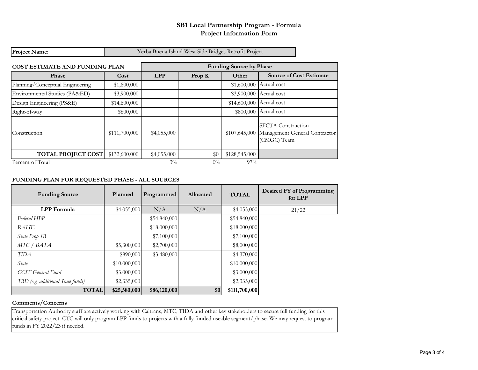#### **SB1 Local Partnership Program - Formula Project Information Form**

| <b>Project Name:</b>                  |                                |             | Yerba Buena Island West Side Bridges Retrofit Project |               |                                                                           |
|---------------------------------------|--------------------------------|-------------|-------------------------------------------------------|---------------|---------------------------------------------------------------------------|
| <b>COST ESTIMATE AND FUNDING PLAN</b> | <b>Funding Source by Phase</b> |             |                                                       |               |                                                                           |
| <b>Phase</b>                          | Cost                           | <b>LPP</b>  | Prop $K$                                              | Other         | <b>Source of Cost Estimate</b>                                            |
| Planning/Conceptual Engineering       | \$1,600,000                    |             |                                                       | \$1,600,000   | Actual cost                                                               |
| Environmental Studies (PA&ED)         | \$3,900,000                    |             |                                                       | \$3,900,000   | Actual cost                                                               |
| Design Engineering (PS&E)             | \$14,600,000                   |             |                                                       | \$14,600,000  | Actual cost                                                               |
| Right-of-way                          | \$800,000                      |             |                                                       | \$800,000     | Actual cost                                                               |
| Construction                          | \$111,700,000                  | \$4,055,000 |                                                       | \$107,645,000 | <b>SFCTA</b> Construction<br>Management General Contractor<br>(CMGC) Team |
| <b>TOTAL PROJECT COST</b>             | \$132,600,000                  | \$4,055,000 | \$0                                                   | \$128,545,000 |                                                                           |
| Percent of Total                      |                                | $3\%$       | $0\%$                                                 | $97\%$        |                                                                           |

#### **FUNDING PLAN FOR REQUESTED PHASE - ALL SOURCES**

| <b>Funding Source</b>             | Planned      | Programmed   | <b>Allocated</b> | <b>TOTAL</b>  | Desired FY of Programming<br>for LPP |
|-----------------------------------|--------------|--------------|------------------|---------------|--------------------------------------|
| <b>LPP</b> Formula                | \$4,055,000  | N/A          | N/A              | \$4,055,000   | 21/22                                |
| Federal HBP                       |              | \$54,840,000 |                  | \$54,840,000  |                                      |
| RAISE                             |              | \$18,000,000 |                  | \$18,000,000  |                                      |
| State Prop 1B                     |              | \$7,100,000  |                  | \$7,100,000   |                                      |
| MTC / BATA                        | \$5,300,000  | \$2,700,000  |                  | \$8,000,000   |                                      |
| <b>TIDA</b>                       | \$890,000    | \$3,480,000  |                  | \$4,370,000   |                                      |
| State                             | \$10,000,000 |              |                  | \$10,000,000  |                                      |
| CCSF General Fund                 | \$3,000,000  |              |                  | \$3,000,000   |                                      |
| TBD (e.g. additional State funds) | \$2,335,000  |              |                  | \$2,335,000   |                                      |
| <b>TOTAL</b>                      | \$25,580,000 | \$86,120,000 | \$0              | \$111,700,000 |                                      |

#### **Comments/Concerns**

Transportation Authority staff are actively working with Caltrans, MTC, TIDA and other key stakeholders to secure full funding for this critical safety project. CTC will only program LPP funds to projects with a fully funded useable segment/phase. We may request to program funds in FY 2022/23 if needed.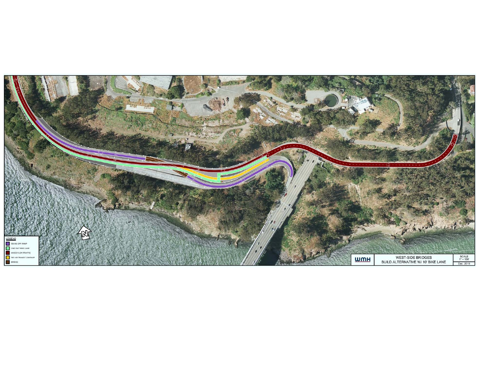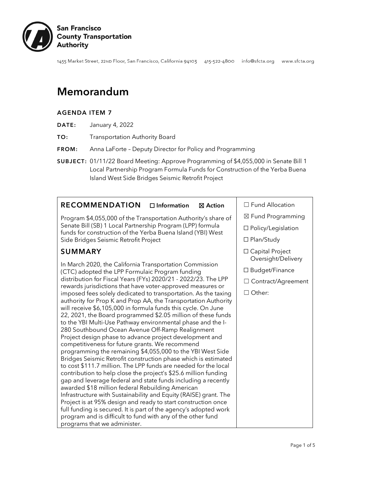

1455 Market Street, 22ND Floor, San Francisco, California 94103 415-522-4800 info@sfcta.org www.sfcta.org

## Memorandum

#### AGENDA ITEM 7

- DATE: January 4, 2022
- TO: Transportation Authority Board
- FROM: Anna LaForte Deputy Director for Policy and Programming
- SUBJECT: 01/11/22 Board Meeting: Approve Programming of \$4,055,000 in Senate Bill 1 Local Partnership Program Formula Funds for Construction of the Yerba Buena Island West Side Bridges Seismic Retrofit Project

| <b>RECOMMENDATION</b> | $\Box$ Information | $\boxtimes$ Action |
|-----------------------|--------------------|--------------------|
|-----------------------|--------------------|--------------------|

Program \$4,055,000 of the Transportation Authority's share of Senate Bill (SB) 1 Local Partnership Program (LPP) formula funds for construction of the Yerba Buena Island (YBI) West Side Bridges Seismic Retrofit Project

### SUMMARY

In March 2020, the California Transportation Commission (CTC) adopted the LPP Formulaic Program funding distribution for Fiscal Years (FYs) 2020/21 - 2022/23. The LPP rewards jurisdictions that have voter-approved measures or imposed fees solely dedicated to transportation. As the taxing authority for Prop K and Prop AA, the Transportation Authority will receive \$6,105,000 in formula funds this cycle. On June 22, 2021, the Board programmed \$2.05 million of these funds to the YBI Multi-Use Pathway environmental phase and the I-280 Southbound Ocean Avenue Off-Ramp Realignment Project design phase to advance project development and competitiveness for future grants. We recommend programming the remaining \$4,055,000 to the YBI West Side Bridges Seismic Retrofit construction phase which is estimated to cost \$111.7 million. The LPP funds are needed for the local contribution to help close the project's \$25.6 million funding gap and leverage federal and state funds including a recently awarded \$18 million federal Rebuilding American Infrastructure with Sustainability and Equity (RAISE) grant. The Project is at 95% design and ready to start construction once full funding is secured. It is part of the agency's adopted work program and is difficult to fund with any of the other fund programs that we administer.

☐ Fund Allocation

- ☒ Fund Programming
- ☐ Policy/Legislation
- ☐ Plan/Study
- ☐ Capital Project Oversight/Delivery
- ☐ Budget/Finance
- ☐ Contract/Agreement

☐ Other: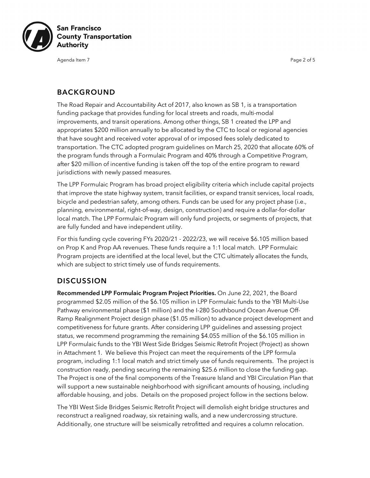

Agenda Item 7 Page 2 of 5

#### BACKGROUND

The Road Repair and Accountability Act of 2017, also known as SB 1, is a transportation funding package that provides funding for local streets and roads, multi-modal improvements, and transit operations. Among other things, SB 1 created the LPP and appropriates \$200 million annually to be allocated by the CTC to local or regional agencies that have sought and received voter approval of or imposed fees solely dedicated to transportation. The CTC adopted program guidelines on March 25, 2020 that allocate 60% of the program funds through a Formulaic Program and 40% through a Competitive Program, after \$20 million of incentive funding is taken off the top of the entire program to reward jurisdictions with newly passed measures.

The LPP Formulaic Program has broad project eligibility criteria which include capital projects that improve the state highway system, transit facilities, or expand transit services, local roads, bicycle and pedestrian safety, among others. Funds can be used for any project phase (i.e., planning, environmental, right-of-way, design, construction) and require a dollar-for-dollar local match. The LPP Formulaic Program will only fund projects, or segments of projects, that are fully funded and have independent utility.

For this funding cycle covering FYs 2020/21 - 2022/23, we will receive \$6.105 million based on Prop K and Prop AA revenues. These funds require a 1:1 local match. LPP Formulaic Program projects are identified at the local level, but the CTC ultimately allocates the funds, which are subject to strict timely use of funds requirements.

#### **DISCUSSION**

Recommended LPP Formulaic Program Project Priorities. On June 22, 2021, the Board programmed \$2.05 million of the \$6.105 million in LPP Formulaic funds to the YBI Multi-Use Pathway environmental phase (\$1 million) and the I-280 Southbound Ocean Avenue Off-Ramp Realignment Project design phase (\$1.05 million) to advance project development and competitiveness for future grants. After considering LPP guidelines and assessing project status, we recommend programming the remaining \$4.055 million of the \$6.105 million in LPP Formulaic funds to the YBI West Side Bridges Seismic Retrofit Project (Project) as shown in Attachment 1. We believe this Project can meet the requirements of the LPP formula program, including 1:1 local match and strict timely use of funds requirements. The project is construction ready, pending securing the remaining \$25.6 million to close the funding gap. The Project is one of the final components of the Treasure Island and YBI Circulation Plan that will support a new sustainable neighborhood with significant amounts of housing, including affordable housing, and jobs. Details on the proposed project follow in the sections below.

The YBI West Side Bridges Seismic Retrofit Project will demolish eight bridge structures and reconstruct a realigned roadway, six retaining walls, and a new undercrossing structure. Additionally, one structure will be seismically retrofitted and requires a column relocation.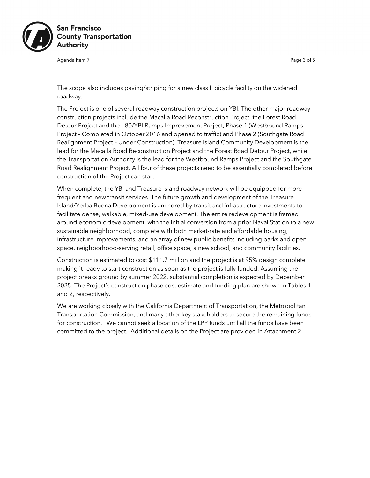

Agenda Item 7 Page 3 of 5

The scope also includes paving/striping for a new class II bicycle facility on the widened roadway.

The Project is one of several roadway construction projects on YBI. The other major roadway construction projects include the Macalla Road Reconstruction Project, the Forest Road Detour Project and the I-80/YBI Ramps Improvement Project, Phase 1 (Westbound Ramps Project – Completed in October 2016 and opened to traffic) and Phase 2 (Southgate Road Realignment Project – Under Construction). Treasure Island Community Development is the lead for the Macalla Road Reconstruction Project and the Forest Road Detour Project, while the Transportation Authority is the lead for the Westbound Ramps Project and the Southgate Road Realignment Project. All four of these projects need to be essentially completed before construction of the Project can start.

When complete, the YBI and Treasure Island roadway network will be equipped for more frequent and new transit services. The future growth and development of the Treasure Island/Yerba Buena Development is anchored by transit and infrastructure investments to facilitate dense, walkable, mixed-use development. The entire redevelopment is framed around economic development, with the initial conversion from a prior Naval Station to a new sustainable neighborhood, complete with both market-rate and affordable housing, infrastructure improvements, and an array of new public benefits including parks and open space, neighborhood-serving retail, office space, a new school, and community facilities.

Construction is estimated to cost \$111.7 million and the project is at 95% design complete making it ready to start construction as soon as the project is fully funded. Assuming the project breaks ground by summer 2022, substantial completion is expected by December 2025. The Project's construction phase cost estimate and funding plan are shown in Tables 1 and 2, respectively.

We are working closely with the California Department of Transportation, the Metropolitan Transportation Commission, and many other key stakeholders to secure the remaining funds for construction. We cannot seek allocation of the LPP funds until all the funds have been committed to the project. Additional details on the Project are provided in Attachment 2.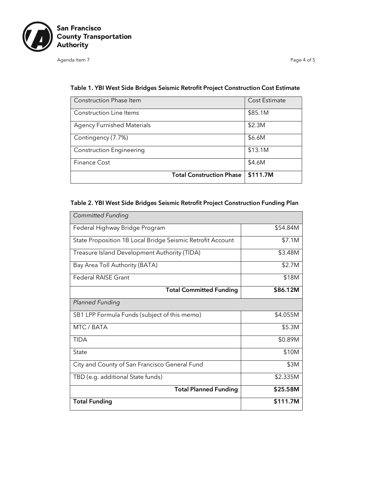

Agenda Item 7 Page 4 of 5

| Construction Phase Item           | Cost Estimate |
|-----------------------------------|---------------|
| <b>Construction Line Items</b>    | \$85.1M       |
| <b>Agency Furnished Materials</b> | \$2.3M        |
| Contingency (7.7%)                | \$6.6M        |
| <b>Construction Engineering</b>   | \$13.1M       |
| <b>Finance Cost</b>               | \$4.6M        |
| <b>Total Construction Phase</b>   | \$111.7M      |

#### Table 1. YBI West Side Bridges Seismic Retrofit Project Construction Cost Estimate

## Table 2. YBI West Side Bridges Seismic Retrofit Project Construction Funding Plan

| <b>Committed Funding</b>                                   |          |
|------------------------------------------------------------|----------|
| Federal Highway Bridge Program                             | \$54.84M |
| State Proposition 1B Local Bridge Seismic Retrofit Account | \$7.1M   |
| Treasure Island Development Authority (TIDA)               | \$3.48M  |
| Bay Area Toll Authority (BATA)                             | \$2.7M   |
| <b>Federal RAISE Grant</b>                                 | \$18M    |
| <b>Total Committed Funding</b>                             | \$86.12M |
| <b>Planned Funding</b>                                     |          |
| SB1 LPP Formula Funds (subject of this memo)               | \$4.055M |
| MTC / BATA                                                 | \$5.3M   |
| <b>TIDA</b>                                                | \$0.89M  |
| State                                                      | \$10M    |
| City and County of San Francisco General Fund              | \$3M     |
| TBD (e.g. additional State funds)                          | \$2.335M |
| <b>Total Planned Funding</b>                               | \$25.58M |
| <b>Total Funding</b>                                       | \$111.7M |